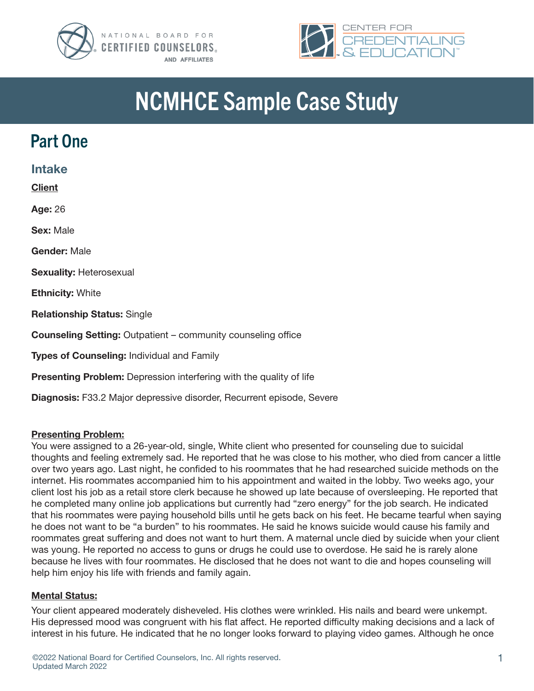



# NCMHCE Sample Case Study

### Part One

| <b>Intake</b>                                                              |  |  |  |
|----------------------------------------------------------------------------|--|--|--|
| <b>Client</b>                                                              |  |  |  |
| Age: 26                                                                    |  |  |  |
| <b>Sex: Male</b>                                                           |  |  |  |
| Gender: Male                                                               |  |  |  |
| <b>Sexuality: Heterosexual</b>                                             |  |  |  |
| <b>Ethnicity: White</b>                                                    |  |  |  |
| <b>Relationship Status: Single</b>                                         |  |  |  |
| <b>Counseling Setting:</b> Outpatient – community counseling office        |  |  |  |
| <b>Types of Counseling: Individual and Family</b>                          |  |  |  |
| <b>Presenting Problem:</b> Depression interfering with the quality of life |  |  |  |

Diagnosis: F33.2 Major depressive disorder, Recurrent episode, Severe

#### Presenting Problem:

You were assigned to a 26-year-old, single, White client who presented for counseling due to suicidal thoughts and feeling extremely sad. He reported that he was close to his mother, who died from cancer a little over two years ago. Last night, he confided to his roommates that he had researched suicide methods on the internet. His roommates accompanied him to his appointment and waited in the lobby. Two weeks ago, your client lost his job as a retail store clerk because he showed up late because of oversleeping. He reported that he completed many online job applications but currently had "zero energy" for the job search. He indicated that his roommates were paying household bills until he gets back on his feet. He became tearful when saying he does not want to be "a burden" to his roommates. He said he knows suicide would cause his family and roommates great suffering and does not want to hurt them. A maternal uncle died by suicide when your client was young. He reported no access to guns or drugs he could use to overdose. He said he is rarely alone because he lives with four roommates. He disclosed that he does not want to die and hopes counseling will help him enjoy his life with friends and family again.

#### Mental Status:

Your client appeared moderately disheveled. His clothes were wrinkled. His nails and beard were unkempt. His depressed mood was congruent with his flat affect. He reported difficulty making decisions and a lack of interest in his future. He indicated that he no longer looks forward to playing video games. Although he once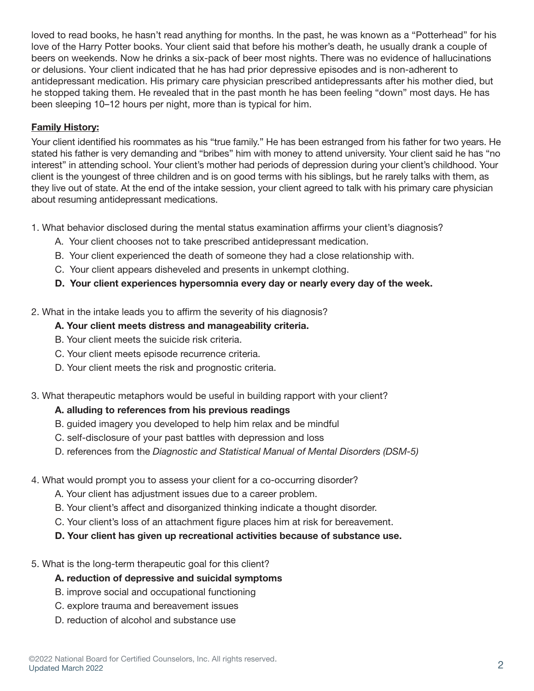loved to read books, he hasn't read anything for months. In the past, he was known as a "Potterhead" for his love of the Harry Potter books. Your client said that before his mother's death, he usually drank a couple of beers on weekends. Now he drinks a six-pack of beer most nights. There was no evidence of hallucinations or delusions. Your client indicated that he has had prior depressive episodes and is non-adherent to antidepressant medication. His primary care physician prescribed antidepressants after his mother died, but he stopped taking them. He revealed that in the past month he has been feeling "down" most days. He has been sleeping 10–12 hours per night, more than is typical for him.

#### Family History:

Your client identified his roommates as his "true family." He has been estranged from his father for two years. He stated his father is very demanding and "bribes" him with money to attend university. Your client said he has "no interest" in attending school. Your client's mother had periods of depression during your client's childhood. Your client is the youngest of three children and is on good terms with his siblings, but he rarely talks with them, as they live out of state. At the end of the intake session, your client agreed to talk with his primary care physician about resuming antidepressant medications.

1. What behavior disclosed during the mental status examination affirms your client's diagnosis?

- A. Your client chooses not to take prescribed antidepressant medication.
- B. Your client experienced the death of someone they had a close relationship with.
- C. Your client appears disheveled and presents in unkempt clothing.
- D. Your client experiences hypersomnia every day or nearly every day of the week.

2. What in the intake leads you to affirm the severity of his diagnosis?

#### A. Your client meets distress and manageability criteria.

- B. Your client meets the suicide risk criteria.
- C. Your client meets episode recurrence criteria.
- D. Your client meets the risk and prognostic criteria.
- 3. What therapeutic metaphors would be useful in building rapport with your client?

#### A. alluding to references from his previous readings

- B. guided imagery you developed to help him relax and be mindful
- C. self-disclosure of your past battles with depression and loss
- D. references from the *Diagnostic and Statistical Manual of Mental Disorders (DSM-5)*
- 4. What would prompt you to assess your client for a co-occurring disorder?
	- A. Your client has adjustment issues due to a career problem.
	- B. Your client's affect and disorganized thinking indicate a thought disorder.
	- C. Your client's loss of an attachment figure places him at risk for bereavement.
	- D. Your client has given up recreational activities because of substance use.
- 5. What is the long-term therapeutic goal for this client?

#### A. reduction of depressive and suicidal symptoms

- B. improve social and occupational functioning
- C. explore trauma and bereavement issues
- D. reduction of alcohol and substance use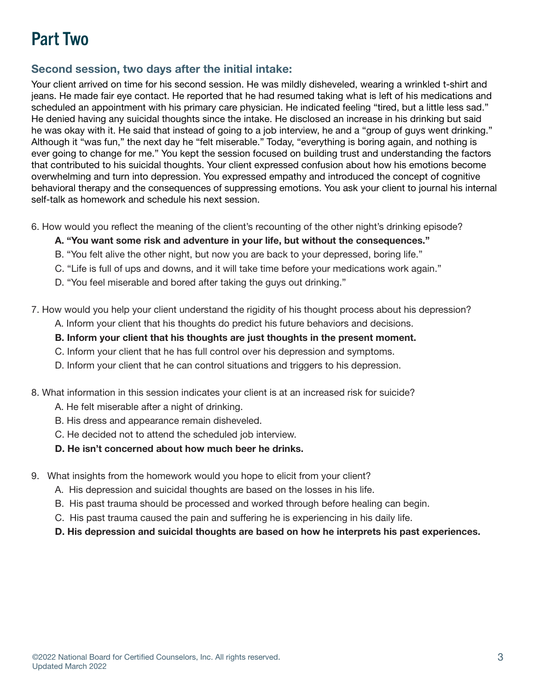## Part Two

### Second session, two days after the initial intake:

Your client arrived on time for his second session. He was mildly disheveled, wearing a wrinkled t-shirt and jeans. He made fair eye contact. He reported that he had resumed taking what is left of his medications and scheduled an appointment with his primary care physician. He indicated feeling "tired, but a little less sad." He denied having any suicidal thoughts since the intake. He disclosed an increase in his drinking but said he was okay with it. He said that instead of going to a job interview, he and a "group of guys went drinking." Although it "was fun," the next day he "felt miserable." Today, "everything is boring again, and nothing is ever going to change for me." You kept the session focused on building trust and understanding the factors that contributed to his suicidal thoughts. Your client expressed confusion about how his emotions become overwhelming and turn into depression. You expressed empathy and introduced the concept of cognitive behavioral therapy and the consequences of suppressing emotions. You ask your client to journal his internal self-talk as homework and schedule his next session.

- 6. How would you reflect the meaning of the client's recounting of the other night's drinking episode?
	- A. "You want some risk and adventure in your life, but without the consequences."
	- B. "You felt alive the other night, but now you are back to your depressed, boring life."
	- C. "Life is full of ups and downs, and it will take time before your medications work again."
	- D. "You feel miserable and bored after taking the guys out drinking."
- 7. How would you help your client understand the rigidity of his thought process about his depression?
	- A. Inform your client that his thoughts do predict his future behaviors and decisions.
	- B. Inform your client that his thoughts are just thoughts in the present moment.
	- C. Inform your client that he has full control over his depression and symptoms.
	- D. Inform your client that he can control situations and triggers to his depression.
- 8. What information in this session indicates your client is at an increased risk for suicide?
	- A. He felt miserable after a night of drinking.
	- B. His dress and appearance remain disheveled.
	- C. He decided not to attend the scheduled job interview.
	- D. He isn't concerned about how much beer he drinks.
- 9. What insights from the homework would you hope to elicit from your client?
	- A. His depression and suicidal thoughts are based on the losses in his life.
	- B. His past trauma should be processed and worked through before healing can begin.
	- C. His past trauma caused the pain and suffering he is experiencing in his daily life.
	- D. His depression and suicidal thoughts are based on how he interprets his past experiences.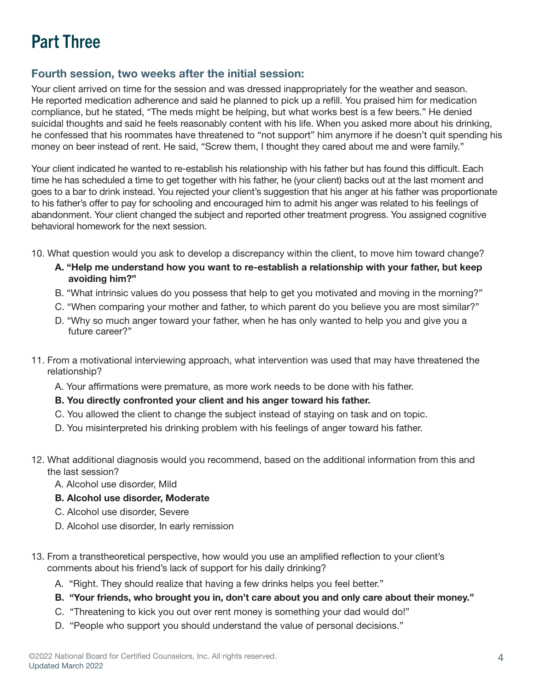# Part Three

### Fourth session, two weeks after the initial session:

Your client arrived on time for the session and was dressed inappropriately for the weather and season. He reported medication adherence and said he planned to pick up a refill. You praised him for medication compliance, but he stated, "The meds might be helping, but what works best is a few beers." He denied suicidal thoughts and said he feels reasonably content with his life. When you asked more about his drinking, he confessed that his roommates have threatened to "not support" him anymore if he doesn't quit spending his money on beer instead of rent. He said, "Screw them, I thought they cared about me and were family."

Your client indicated he wanted to re-establish his relationship with his father but has found this difficult. Each time he has scheduled a time to get together with his father, he (your client) backs out at the last moment and goes to a bar to drink instead. You rejected your client's suggestion that his anger at his father was proportionate to his father's offer to pay for schooling and encouraged him to admit his anger was related to his feelings of abandonment. Your client changed the subject and reported other treatment progress. You assigned cognitive behavioral homework for the next session.

- 10. What question would you ask to develop a discrepancy within the client, to move him toward change?
	- A. "Help me understand how you want to re-establish a relationship with your father, but keep avoiding him?"
	- B. "What intrinsic values do you possess that help to get you motivated and moving in the morning?"
	- C. "When comparing your mother and father, to which parent do you believe you are most similar?"
	- D. "Why so much anger toward your father, when he has only wanted to help you and give you a future career?"
- 11. From a motivational interviewing approach, what intervention was used that may have threatened the relationship?
	- A. Your affirmations were premature, as more work needs to be done with his father.

#### B. You directly confronted your client and his anger toward his father.

- C. You allowed the client to change the subject instead of staying on task and on topic.
- D. You misinterpreted his drinking problem with his feelings of anger toward his father.
- 12. What additional diagnosis would you recommend, based on the additional information from this and the last session?
	- A. Alcohol use disorder, Mild

#### B. Alcohol use disorder, Moderate

- C. Alcohol use disorder, Severe
- D. Alcohol use disorder, In early remission
- 13. From a transtheoretical perspective, how would you use an amplified reflection to your client's comments about his friend's lack of support for his daily drinking?
	- A. "Right. They should realize that having a few drinks helps you feel better."
	- B. "Your friends, who brought you in, don't care about you and only care about their money."
	- C. "Threatening to kick you out over rent money is something your dad would do!"
	- D. "People who support you should understand the value of personal decisions."